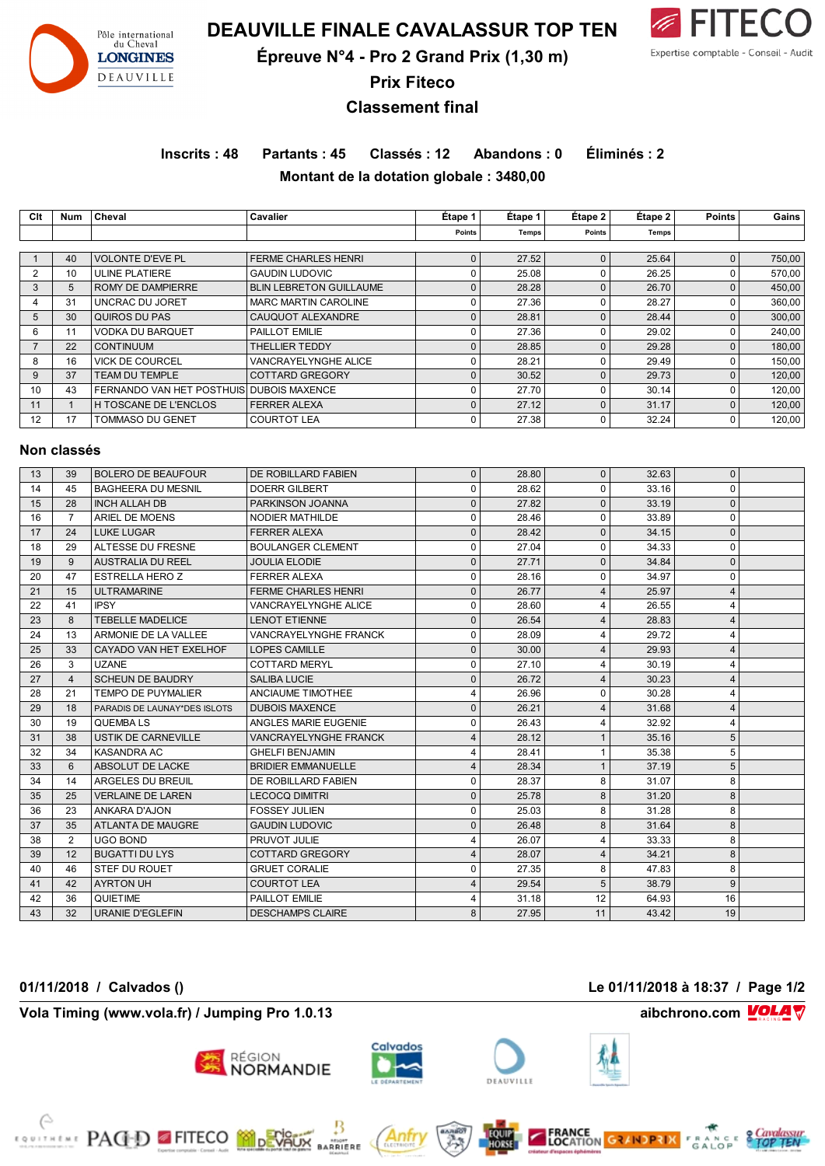

**DEAUVILLE FINALE CAVALASSUR TOP TEN**



**Épreuve N°4 - Pro 2 Grand Prix (1,30 m)**

**Prix Fiteco**

# **Classement final**

**Inscrits : 48 Partants : 45 Classés : 12 Abandons : 0 Éliminés : 2 Montant de la dotation globale : 3480,00**

**Clt Num Cheval Cavalier Étape 1 Étape 1 Étape 2 Étape 2 Points Gains Points Temps Points Temps** 1 40 VOLONTE D'EVE PL FERME CHARLES HENRI 0 27.52 0 25.64 0 750,00 2 10 ULINE PLATIERE GAUDIN LUDOVIC 0 25.08 0 26.25 0 570,00 3 5 ROMY DE DAMPIERRE BLIN LEBRETON GUILLAUME 0 28.28 0 26.70 0 450,00 4 31 UNCRAC DU JORET MARC MARTIN CAROLINE 0 27.36 0 28.27 0 360,00 5 30 QUIROS DU PAS CAUQUOT ALEXANDRE 0 28.81 0 28.44 0 300,00 6 | 11 |VODKA DU BARQUET | PAILLOT EMILIE 0 | 27.36 | 0 | 240,00 | 240,00 | 7 | 22 |CONTINUUM | THELLIER TEDDY 0 | 28.85 | 0 | 180,00 | 180,00 | 8 16 VICK DE COURCEL VANCRAYELYNGHE ALICE 0 28.21 0 29.49 0 150,00 9 37 TEAM DU TEMPLE COTTARD GREGORY 0 30.52 0 29.73 0 120,00 10 43 FERNANDO VAN HET POSTHUIS DUBOIS MAXENCE 0 27.70 0 30.14 0 120.00 11 1 H TOSCANE DE L'ENCLOS FERRER ALEXA 0 27.12 0 31.17 0 120.00 12 17 TOMMASO DU GENET COURTOT LEA 0 27.38 0 32.24 0 120,00 **Non classés** 13 39 BOLERO DE BEAUFOUR DE ROBILLARD FABIEN 0 28.80 0 32.63 0 14 | 45 | BAGHEERA DU MESNIL | DOERR GILBERT | 0 | 28.62 | 0 | 33.16 | 0 15 28 INCH ALLAH DB PARKINSON JOANNA 0 27.82 0 33.19 0 16 7 ARIEL DE MOENS NODIER MATHILDE 0 28.46 0 33.89 0 17 24 LUKE LUGAR FERRER ALEXA 0 28.42 0 34.15 0 18 29 ALTESSE DU FRESNE BOULANGER CLEMENT 0 27.04 0 34.33 0 19 9 AUSTRALIA DU REEL JOULIA ELODIE 0 27.71 0 34.84 0

| 18. | 29             | ALTESSE DU FRESIVE           | BUULANGER CLEMEN I           | U        | 27.V4 | υ              | 34.33 | U              |  |
|-----|----------------|------------------------------|------------------------------|----------|-------|----------------|-------|----------------|--|
| 19  | 9              | <b>AUSTRALIA DU REEL</b>     | <b>JOULIA ELODIE</b>         | $\Omega$ | 27.71 | $\Omega$       | 34.84 | $\mathbf{0}$   |  |
| 20  | 47             | <b>ESTRELLA HERO Z</b>       | <b>FERRER ALEXA</b>          | 0        | 28.16 | $\Omega$       | 34.97 | 0              |  |
| 21  | 15             | <b>ULTRAMARINE</b>           | <b>FERME CHARLES HENRI</b>   | $\Omega$ | 26.77 | 4              | 25.97 | 4              |  |
| 22  | 41             | <b>IPSY</b>                  | VANCRAYELYNGHE ALICE         | 0        | 28.60 | 4              | 26.55 | 4              |  |
| 23  | 8              | <b>TEBELLE MADELICE</b>      | <b>LENOT ETIENNE</b>         | $\Omega$ | 26.54 | 4              | 28.83 | 4              |  |
| 24  | 13             | ARMONIE DE LA VALLEE         | <b>VANCRAYELYNGHE FRANCK</b> | 0        | 28.09 | 4              | 29.72 | 4              |  |
| 25  | 33             | CAYADO VAN HET EXELHOF       | <b>LOPES CAMILLE</b>         | 0        | 30.00 | $\overline{4}$ | 29.93 | 4              |  |
| 26  | 3              | <b>UZANE</b>                 | <b>COTTARD MERYL</b>         | 0        | 27.10 |                | 30.19 | 4              |  |
| 27  | $\overline{4}$ | <b>SCHEUN DE BAUDRY</b>      | <b>SALIBA LUCIE</b>          | $\Omega$ | 26.72 | 4              | 30.23 | 4              |  |
| 28  | 21             | <b>TEMPO DE PUYMALIER</b>    | <b>ANCIAUME TIMOTHEE</b>     | 4        | 26.96 | $\Omega$       | 30.28 | 4              |  |
| 29  | 18             | PARADIS DE LAUNAY*DES ISLOTS | <b>DUBOIS MAXENCE</b>        | $\Omega$ | 26.21 | 4              | 31.68 | $\overline{4}$ |  |
| 30  | 19             | <b>QUEMBALS</b>              | ANGLES MARIE EUGENIE         | 0        | 26.43 |                | 32.92 | 4              |  |
| 31  | 38             | <b>USTIK DE CARNEVILLE</b>   | <b>VANCRAYELYNGHE FRANCK</b> | 4        | 28.12 |                | 35.16 | 5              |  |
| 32  | 34             | <b>KASANDRA AC</b>           | <b>GHELFI BENJAMIN</b>       |          | 28.41 |                | 35.38 | 5              |  |
| 33  | 6              | ABSOLUT DE LACKE             | <b>BRIDIER EMMANUELLE</b>    | 4        | 28.34 |                | 37.19 | 5              |  |
| 34  | 14             | ARGELES DU BREUIL            | DE ROBILLARD FABIEN          | 0        | 28.37 | 8              | 31.07 | 8              |  |
| 35  | 25             | <b>VERLAINE DE LAREN</b>     | <b>LECOCQ DIMITRI</b>        | $\Omega$ | 25.78 | 8              | 31.20 | 8              |  |
| 36  | 23             | ANKARA D'AJON                | <b>FOSSEY JULIEN</b>         | 0        | 25.03 | 8              | 31.28 | 8              |  |
| 37  | 35             | ATLANTA DE MAUGRE            | <b>GAUDIN LUDOVIC</b>        | $\Omega$ | 26.48 | 8              | 31.64 | 8              |  |
| 38  | $\overline{2}$ | UGO BOND                     | PRUVOT JULIE                 | 4        | 26.07 | 4              | 33.33 | 8              |  |
| 39  | 12             | <b>BUGATTI DU LYS</b>        | <b>COTTARD GREGORY</b>       | 4        | 28.07 | 4              | 34.21 | 8              |  |
| 40  | 46             | STEF DU ROUET                | <b>GRUET CORALIE</b>         | 0        | 27.35 | 8              | 47.83 | 8              |  |
| 41  | 42             | <b>AYRTON UH</b>             | <b>COURTOT LEA</b>           | 4        | 29.54 | 5              | 38.79 | 9              |  |
| 42  | 36             | <b>QUIETIME</b>              | PAILLOT EMILIE               |          | 31.18 | 12             | 64.93 | 16             |  |
| 43  | 32             | <b>URANIE D'EGLEFIN</b>      | <b>DESCHAMPS CLAIRE</b>      | 8        | 27.95 | 11             | 43.42 | 19             |  |

**01/11/2018 / Calvados () Le 01/11/2018 à 18:37 / Page 1/2**

A

**Vola Timing (www.vola.fr) / Jumping Pro 1.0.13 aibchrono.com VOLA** 

**EXALLE PAGD FITECO MODEVALIX** 

RÉGION



**BARRIERE**